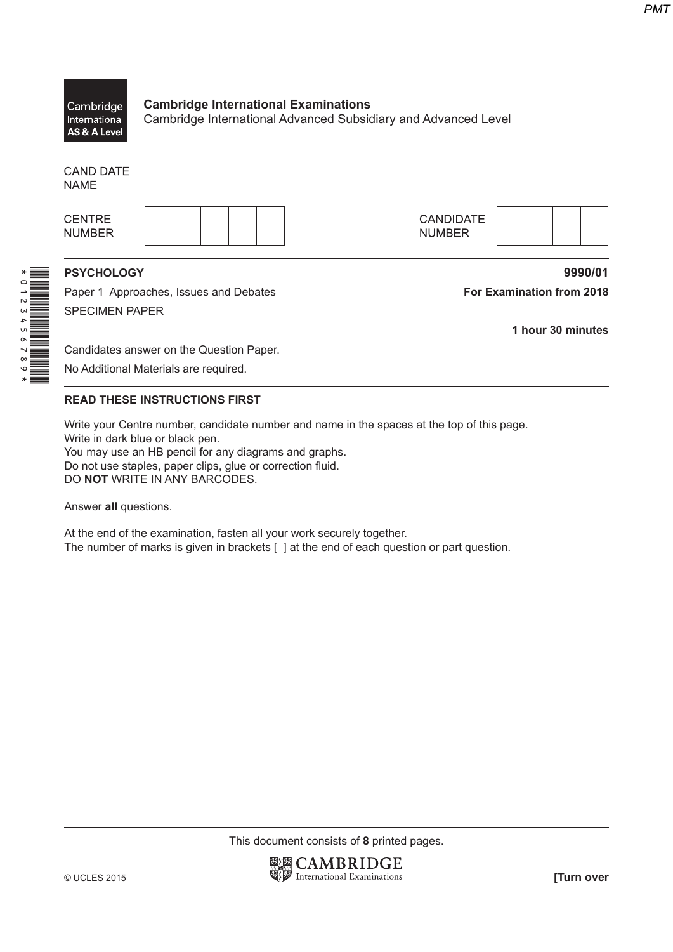## **Cambridge International Examinations** Cambridge Cambridge International Advanced Subsidiary and Advanced Level International AS & A Level

|                                 |                                        | 1 hour 30 minutes                 |  |  |  |
|---------------------------------|----------------------------------------|-----------------------------------|--|--|--|
| <b>SPECIMEN PAPER</b>           |                                        |                                   |  |  |  |
|                                 | Paper 1 Approaches, Issues and Debates | <b>For Examination from 2018</b>  |  |  |  |
| <b>PSYCHOLOGY</b>               |                                        | 9990/01                           |  |  |  |
| <b>CENTRE</b><br><b>NUMBER</b>  |                                        | <b>CANDIDATE</b><br><b>NUMBER</b> |  |  |  |
| <b>CANDIDATE</b><br><b>NAME</b> |                                        |                                   |  |  |  |

Candidates answer on the Question Paper.

No Additional Materials are required.

## **READ THESE INSTRUCTIONS FIRST**

Write your Centre number, candidate number and name in the spaces at the top of this page. Write in dark blue or black pen. You may use an HB pencil for any diagrams and graphs.

Do not use staples, paper clips, glue or correction fluid. DO NOT WRITE IN ANY BARCODES.

Answer all questions.

 $\begin{tabular}{|c|c|c|c|c|} \hline \multicolumn{1}{|c|}{\hline \multicolumn{1}{|c|}{\hline \multicolumn{1}{|c|}{\hline \multicolumn{1}{|c|}{\hline \multicolumn{1}{|c|}{\hline \multicolumn{1}{|c|}{\hline \multicolumn{1}{|c|}{\hline \multicolumn{1}{|c|}{\hline \multicolumn{1}{|c|}{\hline \multicolumn{1}{|c|}{\hline \multicolumn{1}{|c|}{\hline \multicolumn{1}{|c|}{\hline \multicolumn{1}{|c|}{\hline \multicolumn{1}{|c|}{\hline \multic$ 

At the end of the examination, fasten all your work securely together. The number of marks is given in brackets [ ] at the end of each question or part question.

This document consists of 8 printed pages.

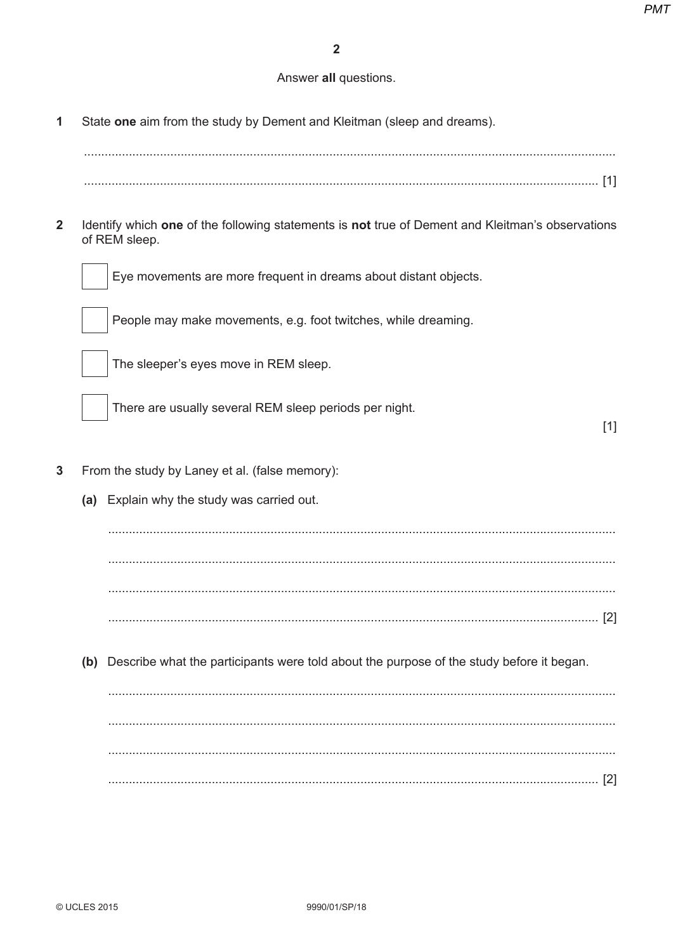## Answer all questions.

State one aim from the study by Dement and Kleitman (sleep and dreams).  $\mathbf{1}$ 

 $\overline{2}$ Identify which one of the following statements is not true of Dement and Kleitman's observations of REM sleep.



Eye movements are more frequent in dreams about distant objects.

People may make movements, e.g. foot twitches, while dreaming.



The sleeper's eyes move in REM sleep.

There are usually several REM sleep periods per night.

 $[1]$ 

- $\overline{3}$ From the study by Laney et al. (false memory):
	- (a) Explain why the study was carried out.

(b) Describe what the participants were told about the purpose of the study before it began.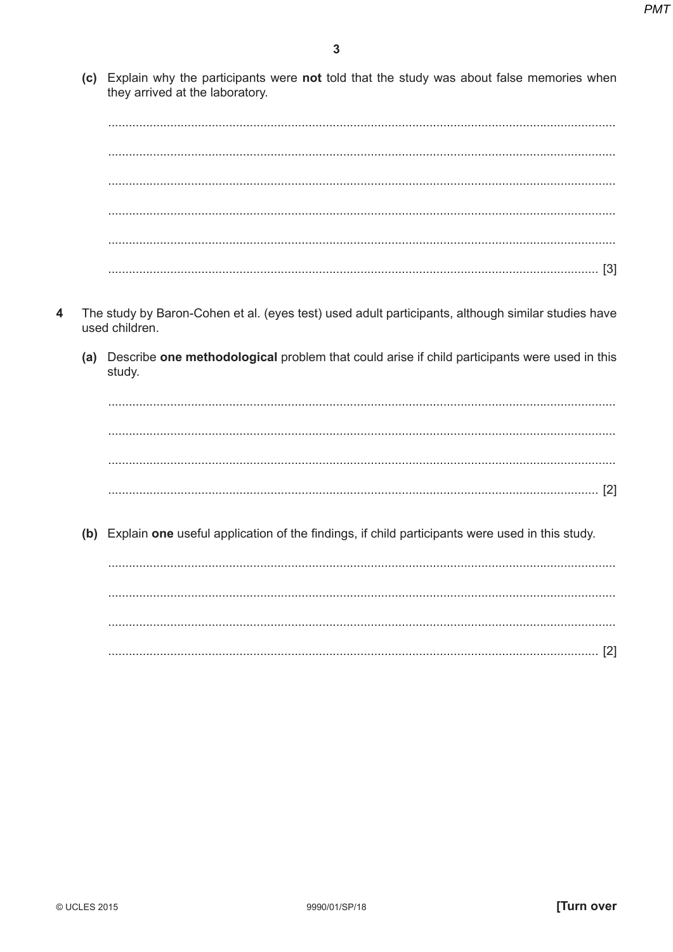**(c)** Explain why the participants were not told that the study was about false memories when they arrived at the laboratory.

%333333333333333333333333333333333333333333333333333333333333333333333333333333333333333333333333333333333333333333333333333333333333333333333333333

%333333333333333333333333333333333333333333333333333333333333333333333333333333333333333333333333333333333333333333333333333333333333333333333333333 %333333333333333333333333333333333333333333333333333333333333333333333333333333333333333333333333333333333333333333333333333333333333333333333333333 %333333333333333333333333333333333333333333333333333333333333333333333333333333333333333333333333333333333333333333333333333333333333333333333333333 %333333333333333333333333333333333333333333333333333333333333333333333333333333333333333333333333333333333333333333333333333333333333333333333333333 %3333333333333333333333333333333333333333333333333333333333333333333333333333333333333333333333333333333333333333333333333333333333333333333333%T`U

- **4** The study by Baron-Cohen et al. (eyes test) used adult participants, although similar studies have used children.
	- **(a)** Describe one methodological problem that could arise if child participants were used in this study.

%333333333333333333333333333333333333333333333333333333333333333333333333333333333333333333333333333333333333333333333333333333333333333333333333333 %333333333333333333333333333333333333333333333333333333333333333333333333333333333333333333333333333333333333333333333333333333333333333333333333333 %333333333333333333333333333333333333333333333333333333333333333333333333333333333333333333333333333333333333333333333333333333333333333333333333333 %3333333333333333333333333333333333333333333333333333333333333333333333333333333333333333333333333333333333333333333333333333333333333333333333%T:U

**(b)** Explain one useful application of the findings, if child participants were used in this study.

%333333333333333333333333333333333333333333333333333333333333333333333333333333333333333333333333333333333333333333333333333333333333333333333333333 %333333333333333333333333333333333333333333333333333333333333333333333333333333333333333333333333333333333333333333333333333333333333333333333333333 %333333333333333333333333333333333333333333333333333333333333333333333333333333333333333333333333333333333333333333333333333333333333333333333333333 %3333333333333333333333333333333333333333333333333333333333333333333333333333333333333333333333333333333333333333333333333333333333333333333333%T:U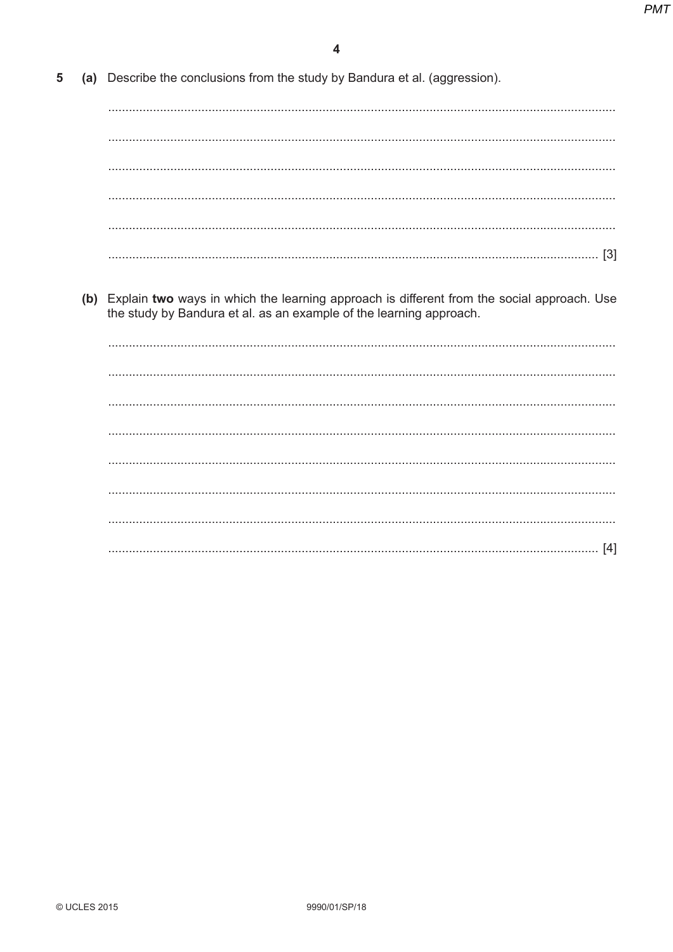**5** (a) Describe the conclusions from the study by Bandura et al. (aggression). %333333333333333333333333333333333333333333333333333333333333333333333333333333333333333333333333333333333333333333333333333333333333333333333333333

%333333333333333333333333333333333333333333333333333333333333333333333333333333333333333333333333333333333333333333333333333333333333333333333333333

%333333333333333333333333333333333333333333333333333333333333333333333333333333333333333333333333333333333333333333333333333333333333333333333333333

- %333333333333333333333333333333333333333333333333333333333333333333333333333333333333333333333333333333333333333333333333333333333333333333333333333 %333333333333333333333333333333333333333333333333333333333333333333333333333333333333333333333333333333333333333333333333333333333333333333333333333 %3333333333333333333333333333333333333333333333333333333333333333333333333333333333333333333333333333333333333333333333333333333333333333333333%T`U
- **(b)** Explain two ways in which the learning approach is different from the social approach. Use the study by Bandura et al. as an example of the learning approach.

%333333333333333333333333333333333333333333333333333333333333333333333333333333333333333333333333333333333333333333333333333333333333333333333333333 %333333333333333333333333333333333333333333333333333333333333333333333333333333333333333333333333333333333333333333333333333333333333333333333333333 %333333333333333333333333333333333333333333333333333333333333333333333333333333333333333333333333333333333333333333333333333333333333333333333333333 %333333333333333333333333333333333333333333333333333333333333333333333333333333333333333333333333333333333333333333333333333333333333333333333333333 %333333333333333333333333333333333333333333333333333333333333333333333333333333333333333333333333333333333333333333333333333333333333333333333333333 %333333333333333333333333333333333333333333333333333333333333333333333333333333333333333333333333333333333333333333333333333333333333333333333333333 %333333333333333333333333333333333333333333333333333333333333333333333333333333333333333333333333333333333333333333333333333333333333333333333333333 %3333333333333333333333333333333333333333333333333333333333333333333333333333333333333333333333333333333333333333333333333333333333333333333333%TbU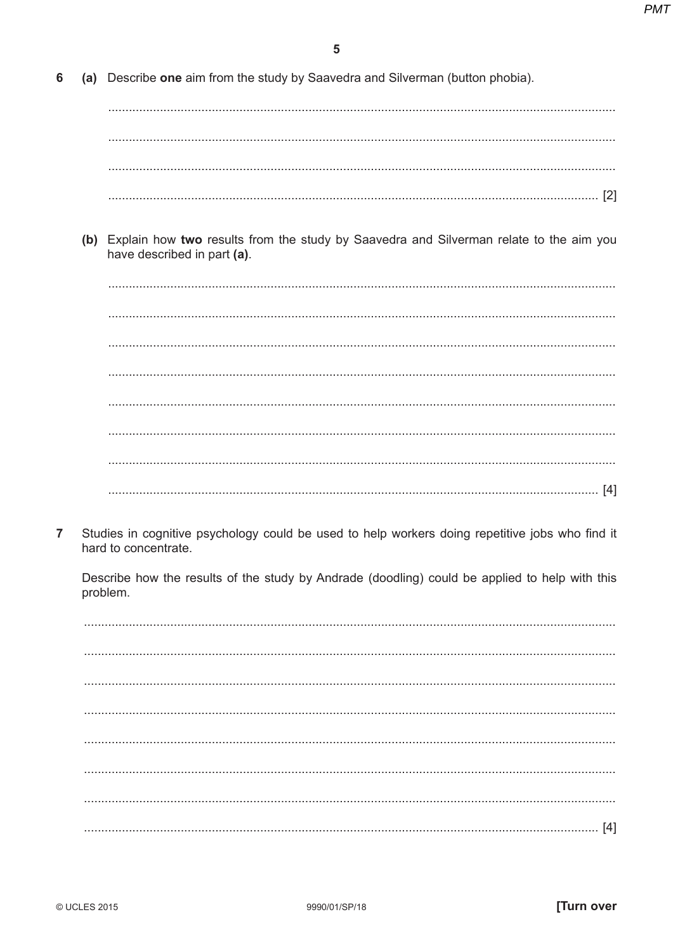**6** (a) Describe one aim from the study by Saavedra and Silverman (button phobia).

%333333333333333333333333333333333333333333333333333333333333333333333333333333333333333333333333333333333333333333333333333333333333333333333333333 %333333333333333333333333333333333333333333333333333333333333333333333333333333333333333333333333333333333333333333333333333333333333333333333333333 %333333333333333333333333333333333333333333333333333333333333333333333333333333333333333333333333333333333333333333333333333333333333333333333333333 %3333333333333333333333333333333333333333333333333333333333333333333333333333333333333333333333333333333333333333333333333333333333333333333333%T:U

**(b)** Explain how two results from the study by Saavedra and Silverman relate to the aim you have described in part (a).

%333333333333333333333333333333333333333333333333333333333333333333333333333333333333333333333333333333333333333333333333333333333333333333333333333 %333333333333333333333333333333333333333333333333333333333333333333333333333333333333333333333333333333333333333333333333333333333333333333333333333 %333333333333333333333333333333333333333333333333333333333333333333333333333333333333333333333333333333333333333333333333333333333333333333333333333 %333333333333333333333333333333333333333333333333333333333333333333333333333333333333333333333333333333333333333333333333333333333333333333333333333 %333333333333333333333333333333333333333333333333333333333333333333333333333333333333333333333333333333333333333333333333333333333333333333333333333 %333333333333333333333333333333333333333333333333333333333333333333333333333333333333333333333333333333333333333333333333333333333333333333333333333 %333333333333333333333333333333333333333333333333333333333333333333333333333333333333333333333333333333333333333333333333333333333333333333333333333 %3333333333333333333333333333333333333333333333333333333333333333333333333333333333333333333333333333333333333333333333333333333333333333333333%TbU

**T** Studies in cognitive psychology could be used to help workers doing repetitive jobs who find it hard to concentrate.

Describe how the results of the study by Andrade (doodling) could be applied to help with this problem.

%3333333333333333333333333333333333333333333333333333333333333333333333333333333333333333333333333333333333333333333333333333333333333333333333333333333333 %3333333333333333333333333333333333333333333333333333333333333333333333333333333333333333333333333333333333333333333333333333333333333333333333333333333333 %3333333333333333333333333333333333333333333333333333333333333333333333333333333333333333333333333333333333333333333333333333333333333333333333333333333333 %3333333333333333333333333333333333333333333333333333333333333333333333333333333333333333333333333333333333333333333333333333333333333333333333333333333333 %3333333333333333333333333333333333333333333333333333333333333333333333333333333333333333333333333333333333333333333333333333333333333333333333333333333333 %3333333333333333333333333333333333333333333333333333333333333333333333333333333333333333333333333333333333333333333333333333333333333333333333333333333333 %3333333333333333333333333333333333333333333333333333333333333333333333333333333333333333333333333333333333333333333333333333333333333333333333333333333333 %33333333333333333333333333333333333333333333333333333333333333333333333333333333333333333333333333333333333333333333333333333333333333333333333333333%TbU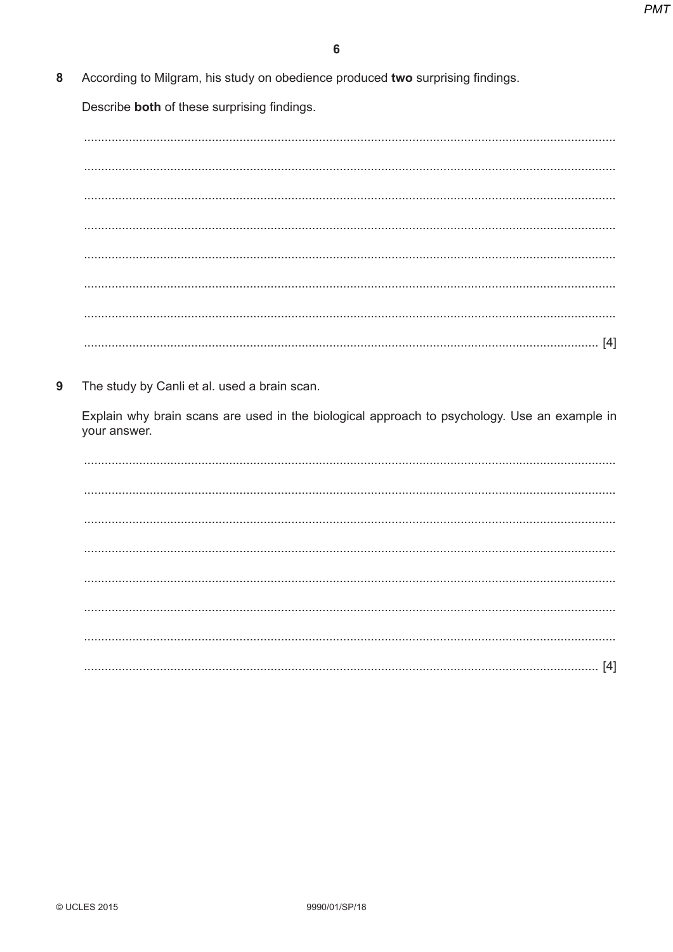According to Milgram, his study on obedience produced two surprising findings. 8

Describe both of these surprising findings.

9 The study by Canli et al. used a brain scan.

Explain why brain scans are used in the biological approach to psychology. Use an example in your answer.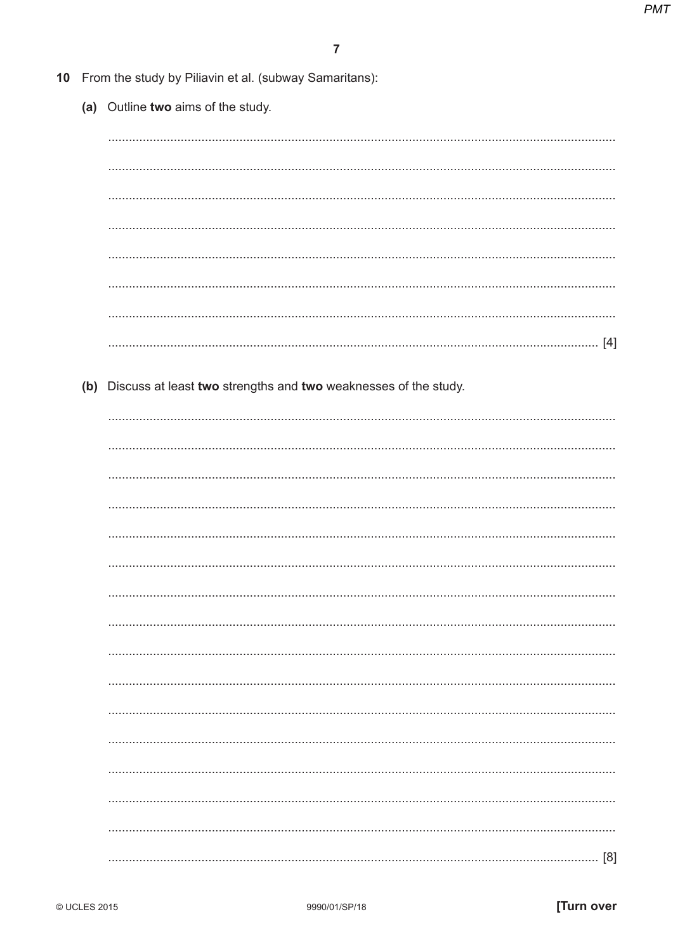|  | 10 From the study by Piliavin et al. (subway Samaritans):           |  |  |  |  |  |
|--|---------------------------------------------------------------------|--|--|--|--|--|
|  | (a) Outline two aims of the study.                                  |  |  |  |  |  |
|  |                                                                     |  |  |  |  |  |
|  |                                                                     |  |  |  |  |  |
|  |                                                                     |  |  |  |  |  |
|  |                                                                     |  |  |  |  |  |
|  |                                                                     |  |  |  |  |  |
|  |                                                                     |  |  |  |  |  |
|  |                                                                     |  |  |  |  |  |
|  |                                                                     |  |  |  |  |  |
|  |                                                                     |  |  |  |  |  |
|  | (b) Discuss at least two strengths and two weaknesses of the study. |  |  |  |  |  |
|  |                                                                     |  |  |  |  |  |
|  |                                                                     |  |  |  |  |  |
|  |                                                                     |  |  |  |  |  |
|  |                                                                     |  |  |  |  |  |
|  |                                                                     |  |  |  |  |  |
|  |                                                                     |  |  |  |  |  |
|  |                                                                     |  |  |  |  |  |
|  |                                                                     |  |  |  |  |  |
|  |                                                                     |  |  |  |  |  |
|  |                                                                     |  |  |  |  |  |
|  |                                                                     |  |  |  |  |  |
|  |                                                                     |  |  |  |  |  |
|  |                                                                     |  |  |  |  |  |
|  |                                                                     |  |  |  |  |  |
|  |                                                                     |  |  |  |  |  |
|  |                                                                     |  |  |  |  |  |
|  |                                                                     |  |  |  |  |  |
|  |                                                                     |  |  |  |  |  |